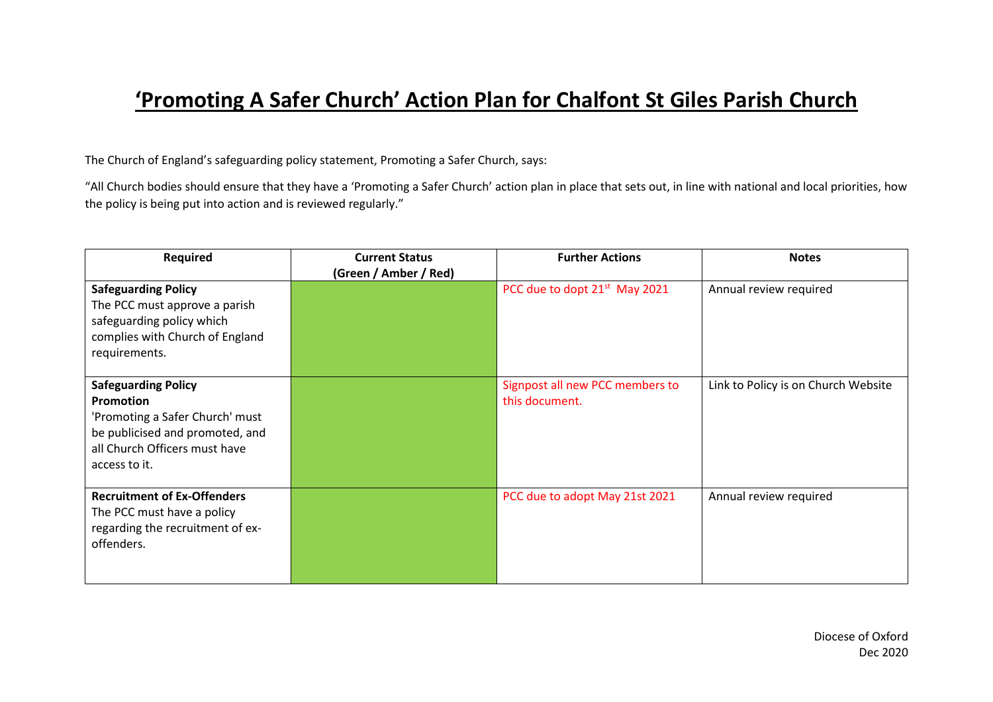## **'Promoting A Safer Church' Action Plan for Chalfont St Giles Parish Church**

The Church of England's safeguarding policy statement, Promoting a Safer Church, says:

"All Church bodies should ensure that they have a 'Promoting a Safer Church' action plan in place that sets out, in line with national and local priorities, how the policy is being put into action and is reviewed regularly."

| Required                                                                                                                                                        | <b>Current Status</b> | <b>Further Actions</b>                            | <b>Notes</b>                        |
|-----------------------------------------------------------------------------------------------------------------------------------------------------------------|-----------------------|---------------------------------------------------|-------------------------------------|
|                                                                                                                                                                 | (Green / Amber / Red) |                                                   |                                     |
| <b>Safeguarding Policy</b><br>The PCC must approve a parish<br>safeguarding policy which<br>complies with Church of England<br>requirements.                    |                       | PCC due to dopt 21 <sup>st</sup> May 2021         | Annual review required              |
| <b>Safeguarding Policy</b><br>Promotion<br>'Promoting a Safer Church' must<br>be publicised and promoted, and<br>all Church Officers must have<br>access to it. |                       | Signpost all new PCC members to<br>this document. | Link to Policy is on Church Website |
| <b>Recruitment of Ex-Offenders</b><br>The PCC must have a policy<br>regarding the recruitment of ex-<br>offenders.                                              |                       | PCC due to adopt May 21st 2021                    | Annual review required              |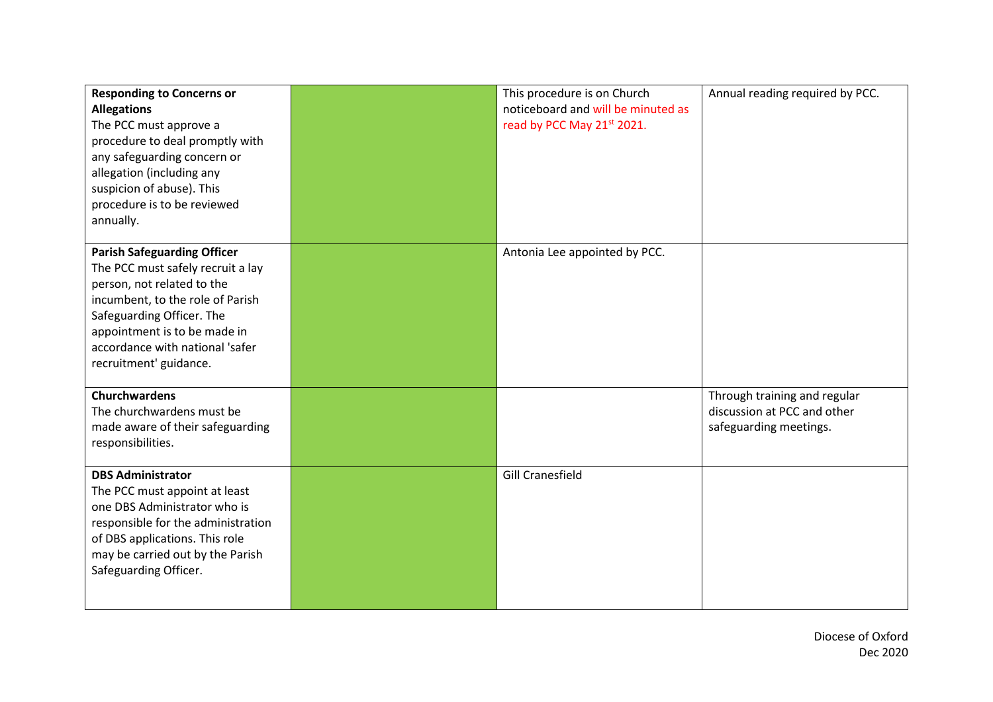| <b>Responding to Concerns or</b><br><b>Allegations</b><br>The PCC must approve a<br>procedure to deal promptly with<br>any safeguarding concern or<br>allegation (including any<br>suspicion of abuse). This<br>procedure is to be reviewed<br>annually.            | This procedure is on Church<br>noticeboard and will be minuted as<br>read by PCC May 21 <sup>st</sup> 2021. | Annual reading required by PCC.                                                       |
|---------------------------------------------------------------------------------------------------------------------------------------------------------------------------------------------------------------------------------------------------------------------|-------------------------------------------------------------------------------------------------------------|---------------------------------------------------------------------------------------|
| <b>Parish Safeguarding Officer</b><br>The PCC must safely recruit a lay<br>person, not related to the<br>incumbent, to the role of Parish<br>Safeguarding Officer. The<br>appointment is to be made in<br>accordance with national 'safer<br>recruitment' guidance. | Antonia Lee appointed by PCC.                                                                               |                                                                                       |
| <b>Churchwardens</b><br>The churchwardens must be<br>made aware of their safeguarding<br>responsibilities.                                                                                                                                                          |                                                                                                             | Through training and regular<br>discussion at PCC and other<br>safeguarding meetings. |
| <b>DBS Administrator</b><br>The PCC must appoint at least<br>one DBS Administrator who is<br>responsible for the administration<br>of DBS applications. This role<br>may be carried out by the Parish<br>Safeguarding Officer.                                      | <b>Gill Cranesfield</b>                                                                                     |                                                                                       |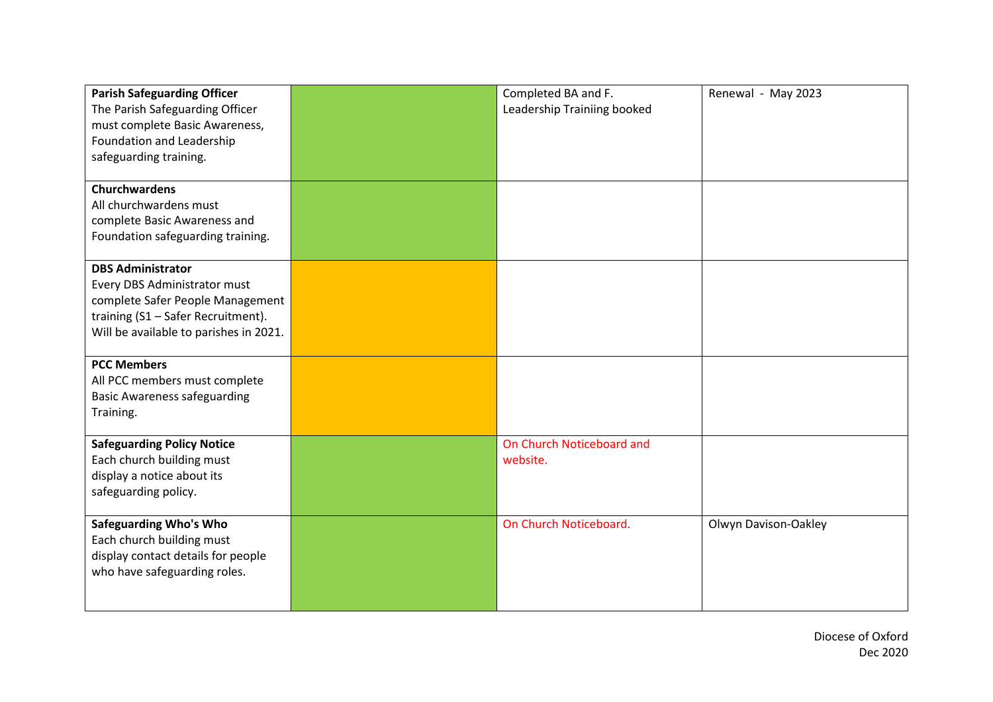| <b>Parish Safeguarding Officer</b><br>The Parish Safeguarding Officer<br>must complete Basic Awareness,<br>Foundation and Leadership                                         | Completed BA and F.<br>Leadership Trainiing booked | Renewal - May 2023   |
|------------------------------------------------------------------------------------------------------------------------------------------------------------------------------|----------------------------------------------------|----------------------|
| safeguarding training.                                                                                                                                                       |                                                    |                      |
| Churchwardens<br>All churchwardens must<br>complete Basic Awareness and<br>Foundation safeguarding training.                                                                 |                                                    |                      |
| <b>DBS Administrator</b><br>Every DBS Administrator must<br>complete Safer People Management<br>training (S1 - Safer Recruitment).<br>Will be available to parishes in 2021. |                                                    |                      |
| <b>PCC Members</b><br>All PCC members must complete<br><b>Basic Awareness safeguarding</b><br>Training.                                                                      |                                                    |                      |
| <b>Safeguarding Policy Notice</b><br>Each church building must<br>display a notice about its<br>safeguarding policy.                                                         | On Church Noticeboard and<br>website.              |                      |
| <b>Safeguarding Who's Who</b><br>Each church building must<br>display contact details for people<br>who have safeguarding roles.                                             | On Church Noticeboard.                             | Olwyn Davison-Oakley |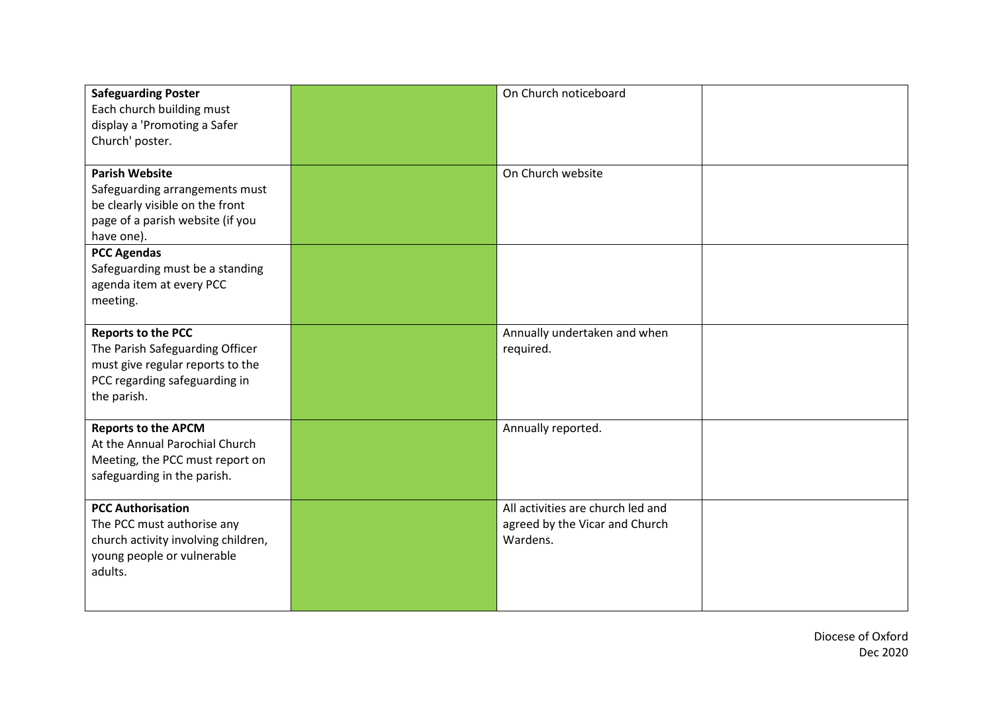| <b>Safeguarding Poster</b><br>Each church building must<br>display a 'Promoting a Safer<br>Church' poster.                                       | On Church noticeboard                                                           |  |
|--------------------------------------------------------------------------------------------------------------------------------------------------|---------------------------------------------------------------------------------|--|
| <b>Parish Website</b><br>Safeguarding arrangements must<br>be clearly visible on the front<br>page of a parish website (if you<br>have one).     | On Church website                                                               |  |
| <b>PCC Agendas</b><br>Safeguarding must be a standing<br>agenda item at every PCC<br>meeting.                                                    |                                                                                 |  |
| <b>Reports to the PCC</b><br>The Parish Safeguarding Officer<br>must give regular reports to the<br>PCC regarding safeguarding in<br>the parish. | Annually undertaken and when<br>required.                                       |  |
| <b>Reports to the APCM</b><br>At the Annual Parochial Church<br>Meeting, the PCC must report on<br>safeguarding in the parish.                   | Annually reported.                                                              |  |
| <b>PCC Authorisation</b><br>The PCC must authorise any<br>church activity involving children,<br>young people or vulnerable<br>adults.           | All activities are church led and<br>agreed by the Vicar and Church<br>Wardens. |  |